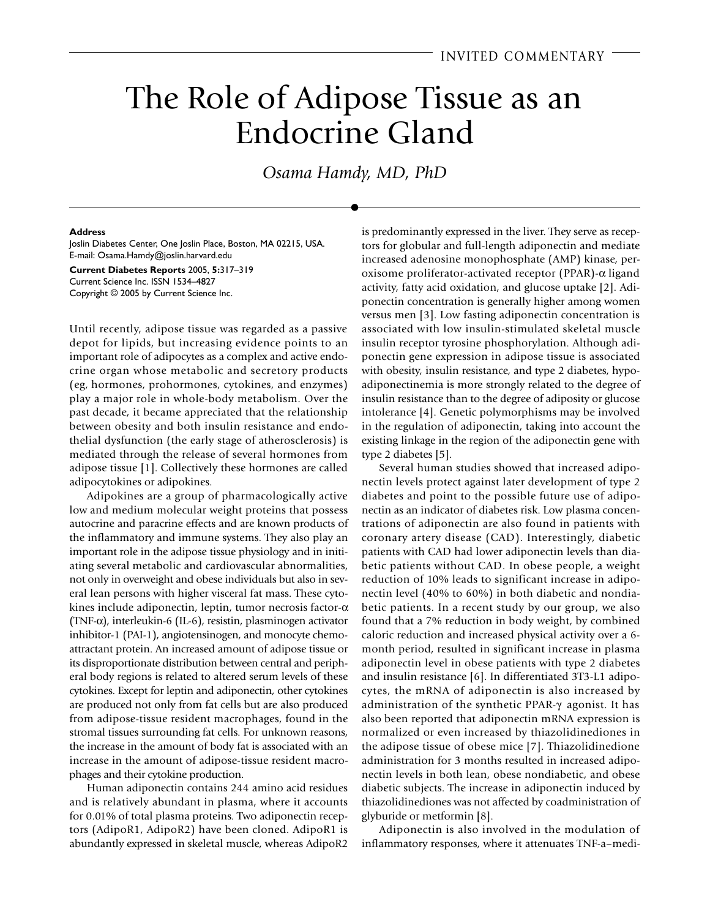## <span id="page-0-0"></span>The Role of Adipose Tissue as an Endocrine Gland

*Osama Hamdy, MD, PhD*

## **Address**

Joslin Diabetes Center, One Joslin Place, Boston, MA 02215, USA. E-mail: Osama.Hamdy@joslin.harvard.edu

**Current Diabetes Reports** 2005, **5:**[317](#page-0-0)[–319](#page-2-0) Current Science Inc. ISSN 1534–4827 Copyright © 2005 by Current Science Inc.

Until recently, adipose tissue was regarded as a passive depot for lipids, but increasing evidence points to an important role of adipocytes as a complex and active endocrine organ whose metabolic and secretory products (eg, hormones, prohormones, cytokines, and enzymes) play a major role in whole-body metabolism. Over the past decade, it became appreciated that the relationship between obesity and both insulin resistance and endothelial dysfunction (the early stage of atherosclerosis) is mediated through the release of several hormones from adipose tissue [1]. Collectively these hormones are called adipocytokines or adipokines.

Adipokines are a group of pharmacologically active low and medium molecular weight proteins that possess autocrine and paracrine effects and are known products of the inflammatory and immune systems. They also play an important role in the adipose tissue physiology and in initiating several metabolic and cardiovascular abnormalities, not only in overweight and obese individuals but also in several lean persons with higher visceral fat mass. These cytokines include adiponectin, leptin, tumor necrosis factor-α (TNF-α), interleukin-6 (IL-6), resistin, plasminogen activator inhibitor-1 (PAI-1), angiotensinogen, and monocyte chemoattractant protein. An increased amount of adipose tissue or its disproportionate distribution between central and peripheral body regions is related to altered serum levels of these cytokines. Except for leptin and adiponectin, other cytokines are produced not only from fat cells but are also produced from adipose-tissue resident macrophages, found in the stromal tissues surrounding fat cells. For unknown reasons, the increase in the amount of body fat is associated with an increase in the amount of adipose-tissue resident macrophages and their cytokine production.

Human adiponectin contains 244 amino acid residues and is relatively abundant in plasma, where it accounts for 0.01% of total plasma proteins. Two adiponectin receptors (AdipoR1, AdipoR2) have been cloned. AdipoR1 is abundantly expressed in skeletal muscle, whereas AdipoR2

is predominantly expressed in the liver. They serve as receptors for globular and full-length adiponectin and mediate increased adenosine monophosphate (AMP) kinase, peroxisome proliferator-activated receptor (PPAR)-α ligand activity, fatty acid oxidation, and glucose uptake [2]. Adiponectin concentration is generally higher among women versus men [3]. Low fasting adiponectin concentration is associated with low insulin-stimulated skeletal muscle insulin receptor tyrosine phosphorylation. Although adiponectin gene expression in adipose tissue is associated with obesity, insulin resistance, and type 2 diabetes, hypoadiponectinemia is more strongly related to the degree of insulin resistance than to the degree of adiposity or glucose intolerance [4]. Genetic polymorphisms may be involved in the regulation of adiponectin, taking into account the existing linkage in the region of the adiponectin gene with type 2 diabetes [5].

Several human studies showed that increased adiponectin levels protect against later development of type 2 diabetes and point to the possible future use of adiponectin as an indicator of diabetes risk. Low plasma concentrations of adiponectin are also found in patients with coronary artery disease (CAD). Interestingly, diabetic patients with CAD had lower adiponectin levels than diabetic patients without CAD. In obese people, a weight reduction of 10% leads to significant increase in adiponectin level (40% to 60%) in both diabetic and nondiabetic patients. In a recent study by our group, we also found that a 7% reduction in body weight, by combined caloric reduction and increased physical activity over a 6 month period, resulted in significant increase in plasma adiponectin level in obese patients with type 2 diabetes and insulin resistance [6]. In differentiated 3T3-L1 adipocytes, the mRNA of adiponectin is also increased by administration of the synthetic PPAR-γ agonist. It has also been reported that adiponectin mRNA expression is normalized or even increased by thiazolidinediones in the adipose tissue of obese mice [7]. Thiazolidinedione administration for 3 months resulted in increased adiponectin levels in both lean, obese nondiabetic, and obese diabetic subjects. The increase in adiponectin induced by thiazolidinediones was not affected by coadministration of glyburide or metformin [8].

Adiponectin is also involved in the modulation of inflammatory responses, where it attenuates TNF-a–medi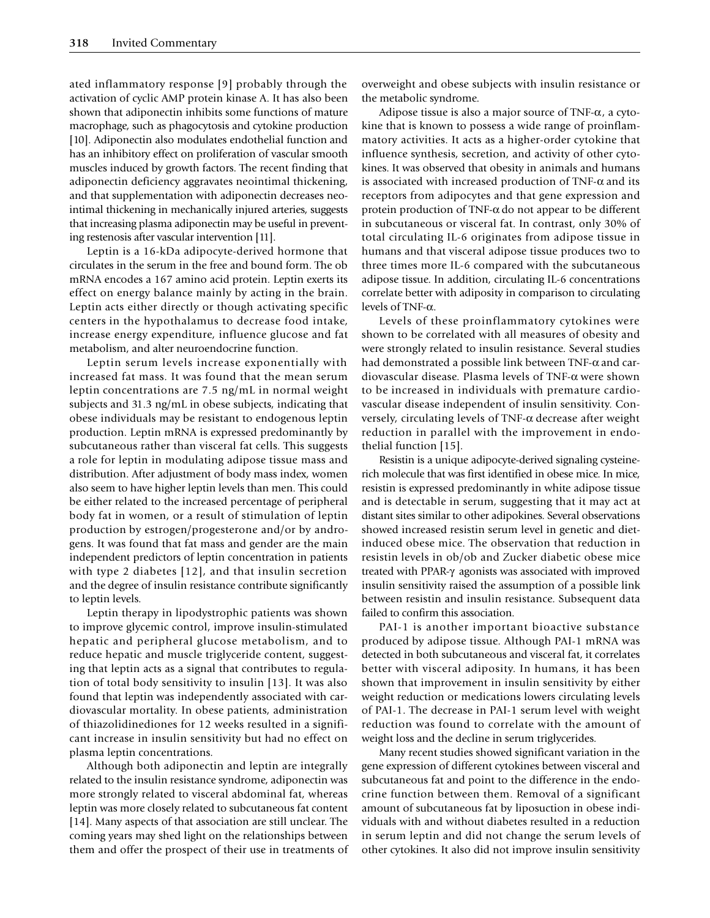ated inflammatory response [9] probably through the activation of cyclic AMP protein kinase A. It has also been shown that adiponectin inhibits some functions of mature macrophage, such as phagocytosis and cytokine production [10]. Adiponectin also modulates endothelial function and has an inhibitory effect on proliferation of vascular smooth muscles induced by growth factors. The recent finding that adiponectin deficiency aggravates neointimal thickening, and that supplementation with adiponectin decreases neointimal thickening in mechanically injured arteries, suggests that increasing plasma adiponectin may be useful in preventing restenosis after vascular intervention [11].

Leptin is a 16-kDa adipocyte-derived hormone that circulates in the serum in the free and bound form. The ob mRNA encodes a 167 amino acid protein. Leptin exerts its effect on energy balance mainly by acting in the brain. Leptin acts either directly or though activating specific centers in the hypothalamus to decrease food intake, increase energy expenditure, influence glucose and fat metabolism, and alter neuroendocrine function.

Leptin serum levels increase exponentially with increased fat mass. It was found that the mean serum leptin concentrations are 7.5 ng/mL in normal weight subjects and 31.3 ng/mL in obese subjects, indicating that obese individuals may be resistant to endogenous leptin production. Leptin mRNA is expressed predominantly by subcutaneous rather than visceral fat cells. This suggests a role for leptin in modulating adipose tissue mass and distribution. After adjustment of body mass index, women also seem to have higher leptin levels than men. This could be either related to the increased percentage of peripheral body fat in women, or a result of stimulation of leptin production by estrogen/progesterone and/or by androgens. It was found that fat mass and gender are the main independent predictors of leptin concentration in patients with type 2 diabetes [12], and that insulin secretion and the degree of insulin resistance contribute significantly to leptin levels.

Leptin therapy in lipodystrophic patients was shown to improve glycemic control, improve insulin-stimulated hepatic and peripheral glucose metabolism, and to reduce hepatic and muscle triglyceride content, suggesting that leptin acts as a signal that contributes to regulation of total body sensitivity to insulin [13]. It was also found that leptin was independently associated with cardiovascular mortality. In obese patients, administration of thiazolidinediones for 12 weeks resulted in a significant increase in insulin sensitivity but had no effect on plasma leptin concentrations.

Although both adiponectin and leptin are integrally related to the insulin resistance syndrome, adiponectin was more strongly related to visceral abdominal fat, whereas leptin was more closely related to subcutaneous fat content [14]. Many aspects of that association are still unclear. The coming years may shed light on the relationships between them and offer the prospect of their use in treatments of overweight and obese subjects with insulin resistance or the metabolic syndrome.

Adipose tissue is also a major source of TNF-α, a cytokine that is known to possess a wide range of proinflammatory activities. It acts as a higher-order cytokine that influence synthesis, secretion, and activity of other cytokines. It was observed that obesity in animals and humans is associated with increased production of TNF-α and its receptors from adipocytes and that gene expression and protein production of TNF-α do not appear to be different in subcutaneous or visceral fat. In contrast, only 30% of total circulating IL-6 originates from adipose tissue in humans and that visceral adipose tissue produces two to three times more IL-6 compared with the subcutaneous adipose tissue. In addition, circulating IL-6 concentrations correlate better with adiposity in comparison to circulating levels of TNF-α.

Levels of these proinflammatory cytokines were shown to be correlated with all measures of obesity and were strongly related to insulin resistance. Several studies had demonstrated a possible link between TNF-α and cardiovascular disease. Plasma levels of TNF-α were shown to be increased in individuals with premature cardiovascular disease independent of insulin sensitivity. Conversely, circulating levels of TNF-α decrease after weight reduction in parallel with the improvement in endothelial function [15].

Resistin is a unique adipocyte-derived signaling cysteinerich molecule that was first identified in obese mice. In mice, resistin is expressed predominantly in white adipose tissue and is detectable in serum, suggesting that it may act at distant sites similar to other adipokines. Several observations showed increased resistin serum level in genetic and dietinduced obese mice. The observation that reduction in resistin levels in ob/ob and Zucker diabetic obese mice treated with PPAR-γ agonists was associated with improved insulin sensitivity raised the assumption of a possible link between resistin and insulin resistance. Subsequent data failed to confirm this association.

PAI-1 is another important bioactive substance produced by adipose tissue. Although PAI-1 mRNA was detected in both subcutaneous and visceral fat, it correlates better with visceral adiposity. In humans, it has been shown that improvement in insulin sensitivity by either weight reduction or medications lowers circulating levels of PAI-1. The decrease in PAI-1 serum level with weight reduction was found to correlate with the amount of weight loss and the decline in serum triglycerides.

Many recent studies showed significant variation in the gene expression of different cytokines between visceral and subcutaneous fat and point to the difference in the endocrine function between them. Removal of a significant amount of subcutaneous fat by liposuction in obese individuals with and without diabetes resulted in a reduction in serum leptin and did not change the serum levels of other cytokines. It also did not improve insulin sensitivity